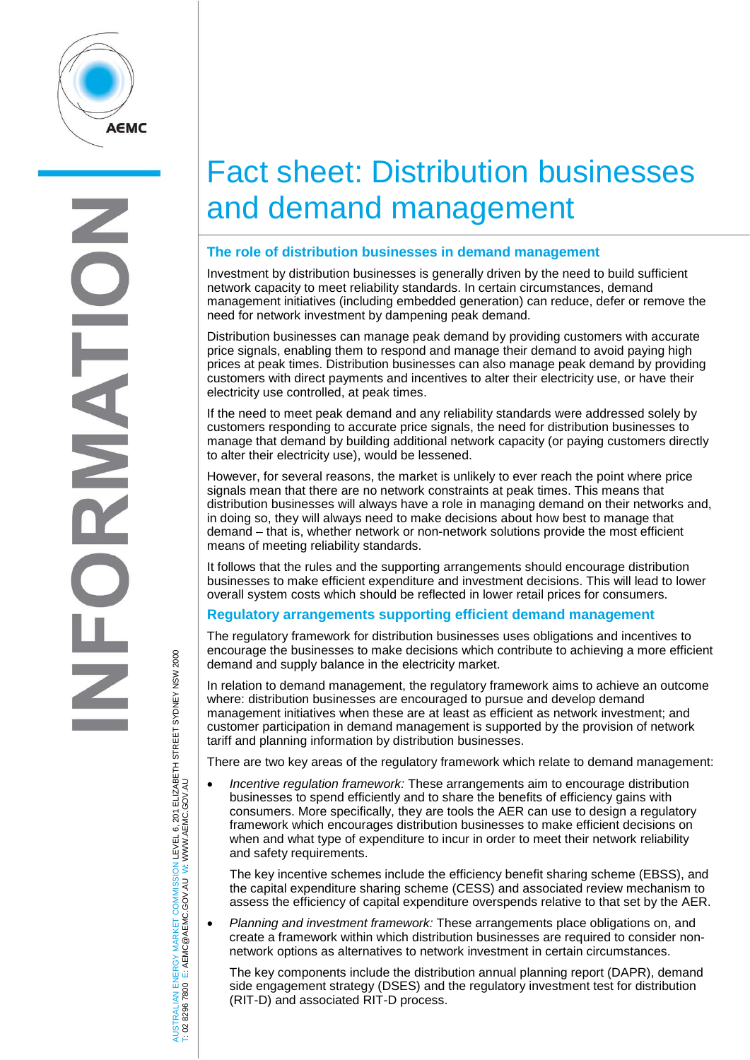

# Fact sheet: Distribution businesses and demand management

#### **The role of distribution businesses in demand management**

Investment by distribution businesses is generally driven by the need to build sufficient network capacity to meet reliability standards. In certain circumstances, demand management initiatives (including embedded generation) can reduce, defer or remove the need for network investment by dampening peak demand.

Distribution businesses can manage peak demand by providing customers with accurate price signals, enabling them to respond and manage their demand to avoid paying high prices at peak times. Distribution businesses can also manage peak demand by providing customers with direct payments and incentives to alter their electricity use, or have their electricity use controlled, at peak times.

If the need to meet peak demand and any reliability standards were addressed solely by customers responding to accurate price signals, the need for distribution businesses to manage that demand by building additional network capacity (or paying customers directly to alter their electricity use), would be lessened.

However, for several reasons, the market is unlikely to ever reach the point where price signals mean that there are no network constraints at peak times. This means that distribution businesses will always have a role in managing demand on their networks and, in doing so, they will always need to make decisions about how best to manage that demand – that is, whether network or non-network solutions provide the most efficient means of meeting reliability standards.

It follows that the rules and the supporting arrangements should encourage distribution businesses to make efficient expenditure and investment decisions. This will lead to lower overall system costs which should be reflected in lower retail prices for consumers.

#### **Regulatory arrangements supporting efficient demand management**

The regulatory framework for distribution businesses uses obligations and incentives to encourage the businesses to make decisions which contribute to achieving a more efficient demand and supply balance in the electricity market.

In relation to demand management, the regulatory framework aims to achieve an outcome where: distribution businesses are encouraged to pursue and develop demand management initiatives when these are at least as efficient as network investment; and customer participation in demand management is supported by the provision of network tariff and planning information by distribution businesses.

There are two key areas of the regulatory framework which relate to demand management:

• *Incentive regulation framework:* These arrangements aim to encourage distribution businesses to spend efficiently and to share the benefits of efficiency gains with consumers. More specifically, they are tools the AER can use to design a regulatory framework which encourages distribution businesses to make efficient decisions on when and what type of expenditure to incur in order to meet their network reliability and safety requirements.

The key incentive schemes include the efficiency benefit sharing scheme (EBSS), and the capital expenditure sharing scheme (CESS) and associated review mechanism to assess the efficiency of capital expenditure overspends relative to that set by the AER.

• *Planning and investment framework:* These arrangements place obligations on, and create a framework within which distribution businesses are required to consider nonnetwork options as alternatives to network investment in certain circumstances.

The key components include the distribution annual planning report (DAPR), demand side engagement strategy (DSES) and the regulatory investment test for distribution (RIT-D) and associated RIT-D process.

ISTRALIAN ENERGY MARKET COMMISSION LEVEL 6, 201 ELIZABETH STREET SYDNEY NSW 2000<br>02 8296 7800 E: AEMC@AEMC.GOV.AU W: WWW.AEMC.GOV.AU AUSTRALIAN ENERGY MARKET COMMISSION LEVEL 6, 201 ELIZABETH STREET SYDNEY NSW 2000 W: WWW.AEMC.GOV.AU T: 02 8296 7800 E: AEMC@AEMC.GOV.AU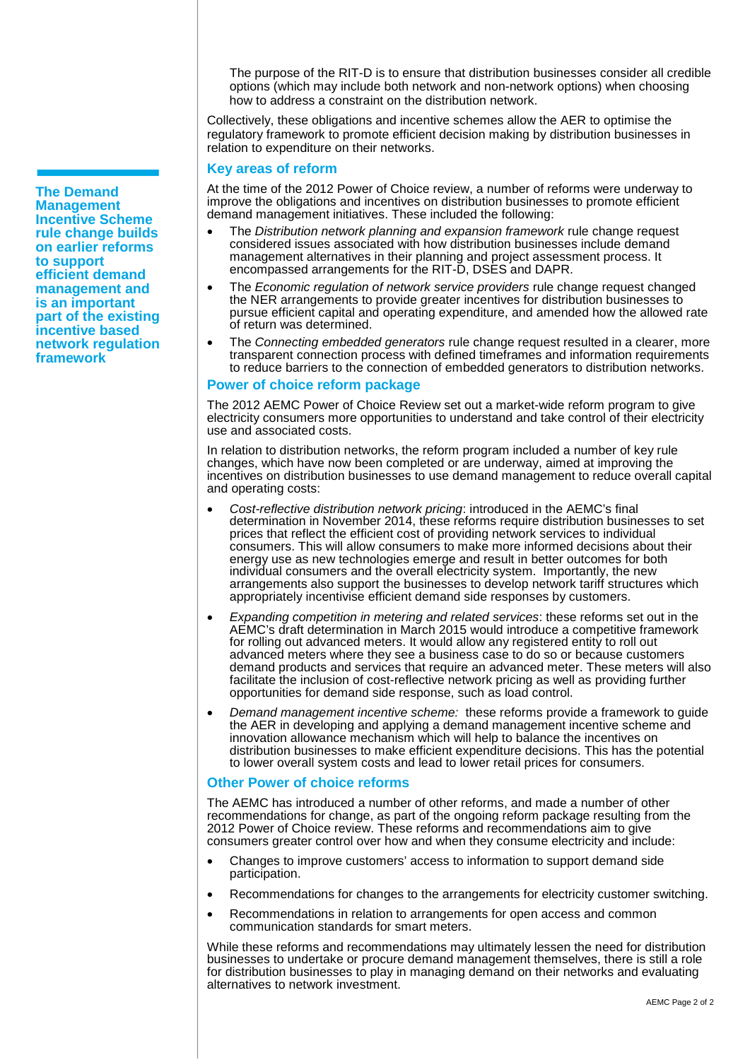The purpose of the RIT-D is to ensure that distribution businesses consider all credible options (which may include both network and non-network options) when choosing how to address a constraint on the distribution network.

Collectively, these obligations and incentive schemes allow the AER to optimise the regulatory framework to promote efficient decision making by distribution businesses in relation to expenditure on their networks.

#### **Key areas of reform**

At the time of the 2012 Power of Choice review, a number of reforms were underway to improve the obligations and incentives on distribution businesses to promote efficient demand management initiatives. These included the following:

- The *Distribution network planning and expansion framework* rule change request considered issues associated with how distribution businesses include demand management alternatives in their planning and project assessment process. It encompassed arrangements for the RIT-D, DSES and DAPR.
- The *Economic regulation of network service providers* rule change request changed the NER arrangements to provide greater incentives for distribution businesses to pursue efficient capital and operating expenditure, and amended how the allowed rate of return was determined.
- The *Connecting embedded generators* rule change request resulted in a clearer, more transparent connection process with defined timeframes and information requirements to reduce barriers to the connection of embedded generators to distribution networks.

#### **Power of choice reform package**

The 2012 AEMC Power of Choice Review set out a market-wide reform program to give electricity consumers more opportunities to understand and take control of their electricity use and associated costs.

In relation to distribution networks, the reform program included a number of key rule changes, which have now been completed or are underway, aimed at improving the incentives on distribution businesses to use demand management to reduce overall capital and operating costs:

- *Cost-reflective distribution network pricing*: introduced in the AEMC's final determination in November 2014, these reforms require distribution businesses to set prices that reflect the efficient cost of providing network services to individual consumers. This will allow consumers to make more informed decisions about their energy use as new technologies emerge and result in better outcomes for both individual consumers and the overall electricity system. Importantly, the new arrangements also support the businesses to develop network tariff structures which appropriately incentivise efficient demand side responses by customers.
- *Expanding competition in metering and related services*: these reforms set out in the AEMC's draft determination in March 2015 would introduce a competitive framework for rolling out advanced meters. It would allow any registered entity to roll out advanced meters where they see a business case to do so or because customers demand products and services that require an advanced meter. These meters will also facilitate the inclusion of cost-reflective network pricing as well as providing further opportunities for demand side response, such as load control.
- *Demand management incentive scheme:* these reforms provide a framework to guide the AER in developing and applying a demand management incentive scheme and innovation allowance mechanism which will help to balance the incentives on distribution businesses to make efficient expenditure decisions. This has the potential to lower overall system costs and lead to lower retail prices for consumers.

#### **Other Power of choice reforms**

The AEMC has introduced a number of other reforms, and made a number of other recommendations for change, as part of the ongoing reform package resulting from the 2012 Power of Choice review. These reforms and recommendations aim to give consumers greater control over how and when they consume electricity and include:

- Changes to improve customers' access to information to support demand side participation.
- Recommendations for changes to the arrangements for electricity customer switching.
- Recommendations in relation to arrangements for open access and common communication standards for smart meters.

While these reforms and recommendations may ultimately lessen the need for distribution businesses to undertake or procure demand management themselves, there is still a role for distribution businesses to play in managing demand on their networks and evaluating alternatives to network investment.

**The Demand Management Incentive Scheme rule change builds on earlier reforms to support efficient demand management and is an important part of the existing incentive based network regulation framework**